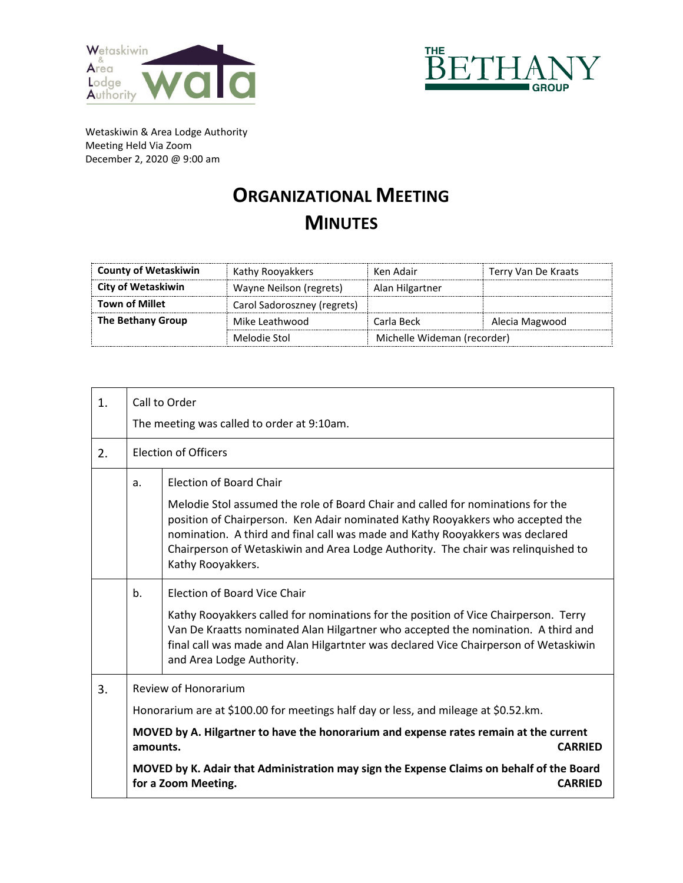



Wetaskiwin & Area Lodge Authority Meeting Held Via Zoom December 2, 2020 @ 9:00 am

## **ORGANIZATIONAL MEETING MINUTES**

| <b>County of Wetaskiwin</b> | Kathy Rooyakkers            | Ken Adair                   | Terry Van De Kraats |
|-----------------------------|-----------------------------|-----------------------------|---------------------|
| City of Wetaskiwin          | Wayne Neilson (regrets)     | Alan Hilgartner             |                     |
| <b>Town of Millet</b>       | Carol Sadoroszney (regrets) |                             |                     |
| The Bethany Group           | Mike Leathwood              | Carla Beck                  | Alecia Magwood      |
|                             | Melodie Stol                | Michelle Wideman (recorder) |                     |

| 1. | Call to Order                                                                                                                                                                                                                                                                                                                                                           |                                                                                                                                                                                                                                                                                                                                                                                                |  |
|----|-------------------------------------------------------------------------------------------------------------------------------------------------------------------------------------------------------------------------------------------------------------------------------------------------------------------------------------------------------------------------|------------------------------------------------------------------------------------------------------------------------------------------------------------------------------------------------------------------------------------------------------------------------------------------------------------------------------------------------------------------------------------------------|--|
|    | The meeting was called to order at 9:10am.                                                                                                                                                                                                                                                                                                                              |                                                                                                                                                                                                                                                                                                                                                                                                |  |
| 2. | <b>Election of Officers</b>                                                                                                                                                                                                                                                                                                                                             |                                                                                                                                                                                                                                                                                                                                                                                                |  |
|    | a.                                                                                                                                                                                                                                                                                                                                                                      | <b>Election of Board Chair</b><br>Melodie Stol assumed the role of Board Chair and called for nominations for the<br>position of Chairperson. Ken Adair nominated Kathy Rooyakkers who accepted the<br>nomination. A third and final call was made and Kathy Rooyakkers was declared<br>Chairperson of Wetaskiwin and Area Lodge Authority. The chair was relinquished to<br>Kathy Rooyakkers. |  |
|    | b.                                                                                                                                                                                                                                                                                                                                                                      | Election of Board Vice Chair<br>Kathy Rooyakkers called for nominations for the position of Vice Chairperson. Terry<br>Van De Kraatts nominated Alan Hilgartner who accepted the nomination. A third and<br>final call was made and Alan Hilgartnter was declared Vice Chairperson of Wetaskiwin<br>and Area Lodge Authority.                                                                  |  |
| 3. | Review of Honorarium<br>Honorarium are at \$100.00 for meetings half day or less, and mileage at \$0.52.km.<br>MOVED by A. Hilgartner to have the honorarium and expense rates remain at the current<br>amounts.<br><b>CARRIED</b><br>MOVED by K. Adair that Administration may sign the Expense Claims on behalf of the Board<br>for a Zoom Meeting.<br><b>CARRIED</b> |                                                                                                                                                                                                                                                                                                                                                                                                |  |